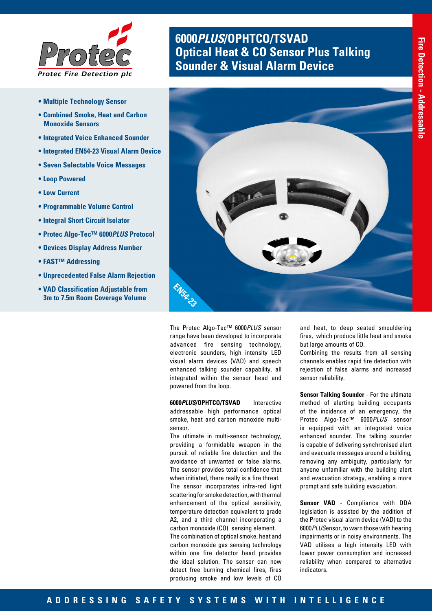

- **Multiple Technology Sensor**
- **Combined Smoke, Heat and Carbon Monoxide Sensors**
- **Integrated Voice Enhanced Sounder**
- **Integrated EN54-23 Visual Alarm Device**
- **Seven Selectable Voice Messages**
- **Loop Powered**
- **Low Current**
- **Programmable Volume Control**
- **Integral Short Circuit Isolator**
- **Protec Algo-Tec™ 6000***PLUS* **Protocol**
- **Devices Display Address Number**
- **FAST™ Addressing**
- **Unprecedented False Alarm Rejection**
- **VAD Classification Adjustable from 3m to 7.5m Room Coverage Volume**

# **6000***PLUS***/OPHTCO/TSVAD Optical Heat & CO Sensor Plus Talking <br><b>Sounder & Visual Alarm Device**



The Protec Algo-Tec™ 6000*PLUS* sensor range have been developed to incorporate advanced fire sensing technology, electronic sounders, high intensity LED visual alarm devices (VAD) and speech enhanced talking sounder capability, all integrated within the sensor head and powered from the loop.

**6000***PLUS***/OPHTCO/TSVAD** Interactive addressable high performance optical smoke, heat and carbon monoxide multisensor.

The ultimate in multi-sensor technology, providing a formidable weapon in the pursuit of reliable fire detection and the avoidance of unwanted or false alarms. The sensor provides total confidence that when initiated, there really is a fire threat. The sensor incorporates infra-red light scattering for smoke detection, with thermal enhancement of the optical sensitivity, temperature detection equivalent to grade A2, and a third channel incorporating a carbon monoxide (CO) sensing element. The combination of optical smoke, heat and carbon monoxide gas sensing technology within one fire detector head provides the ideal solution. The sensor can now detect free burning chemical fires, fires producing smoke and low levels of CO

and heat, to deep seated smouldering fires, which produce little heat and smoke but large amounts of CO.

Combining the results from all sensing channels enables rapid fire detection with rejection of false alarms and increased sensor reliability.

**Sensor Talking Sounder** - For the ultimate method of alerting building occupants of the incidence of an emergency, the Protec Algo-Tec™ 6000*PLUS* sensor is equipped with an integrated voice enhanced sounder. The talking sounder is capable of delivering synchronised alert and evacuate messages around a building, removing any ambiguity, particularly for anyone unfamiliar with the building alert and evacuation strategy, enabling a more prompt and safe building evacuation.

**Sensor VAD** - Compliance with DDA legislation is assisted by the addition of the Protec visual alarm device (VAD) to the 6000*PLUS*ensor, to warn those with hearing impairments or in noisy environments. The VAD utilises a high intensity LED with lower power consumption and increased reliability when compared to alternative indicators.